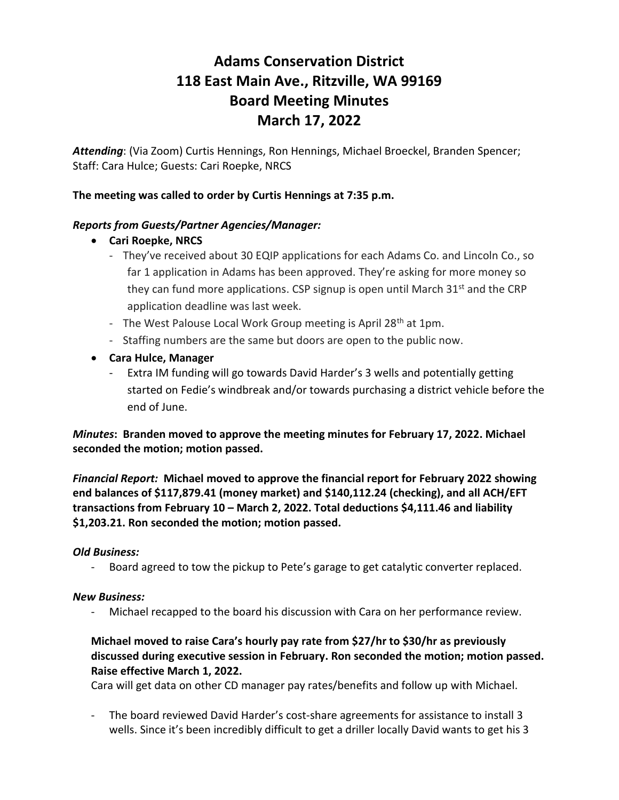# **Adams Conservation District 118 East Main Ave., Ritzville, WA 99169 Board Meeting Minutes March 17, 2022**

*Attending*: (Via Zoom) Curtis Hennings, Ron Hennings, Michael Broeckel, Branden Spencer; Staff: Cara Hulce; Guests: Cari Roepke, NRCS

## **The meeting was called to order by Curtis Hennings at 7:35 p.m.**

### *Reports from Guests/Partner Agencies/Manager:*

- **Cari Roepke, NRCS**
	- They've received about 30 EQIP applications for each Adams Co. and Lincoln Co., so far 1 application in Adams has been approved. They're asking for more money so they can fund more applications. CSP signup is open until March  $31<sup>st</sup>$  and the CRP application deadline was last week.
	- The West Palouse Local Work Group meeting is April 28<sup>th</sup> at 1pm.
	- Staffing numbers are the same but doors are open to the public now.
- **Cara Hulce, Manager**
	- Extra IM funding will go towards David Harder's 3 wells and potentially getting started on Fedie's windbreak and/or towards purchasing a district vehicle before the end of June.

*Minutes***: Branden moved to approve the meeting minutes for February 17, 2022. Michael seconded the motion; motion passed.**

*Financial Report:* **Michael moved to approve the financial report for February 2022 showing end balances of \$117,879.41 (money market) and \$140,112.24 (checking), and all ACH/EFT transactions from February 10 – March 2, 2022. Total deductions \$4,111.46 and liability \$1,203.21. Ron seconded the motion; motion passed.**

#### *Old Business:*

- Board agreed to tow the pickup to Pete's garage to get catalytic converter replaced.

#### *New Business:*

- Michael recapped to the board his discussion with Cara on her performance review.

# **Michael moved to raise Cara's hourly pay rate from \$27/hr to \$30/hr as previously discussed during executive session in February. Ron seconded the motion; motion passed. Raise effective March 1, 2022.**

Cara will get data on other CD manager pay rates/benefits and follow up with Michael.

- The board reviewed David Harder's cost-share agreements for assistance to install 3 wells. Since it's been incredibly difficult to get a driller locally David wants to get his 3